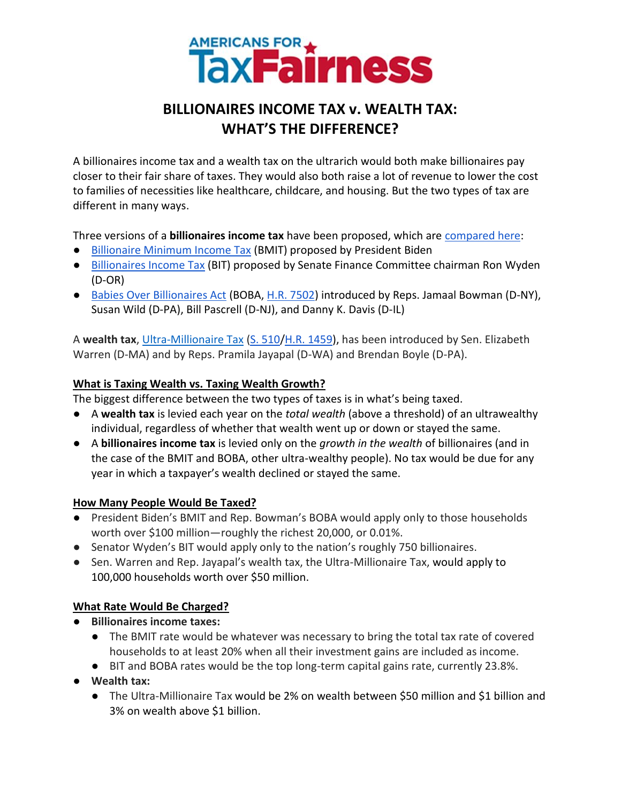

# **BILLIONAIRES INCOME TAX v. WEALTH TAX: WHAT'S THE DIFFERENCE?**

A billionaires income tax and a wealth tax on the ultrarich would both make billionaires pay closer to their fair share of taxes. They would also both raise a lot of revenue to lower the cost to families of necessities like healthcare, childcare, and housing. But the two types of tax are different in many ways.

Three versions of a **billionaires income tax** have been proposed, which are [compared here:](https://billionairestax.org/2022/04/08/comparison-of-bidens-and-wydens-billionaires-income-tax-proposals-short/)

- [Billionaire Minimum Income Tax](https://www.whitehouse.gov/omb/briefing-room/2022/03/28/presidents-budget-rewards-work-not-wealth-with-new-billionaire-minimum-income-tax/#:~:text=The%20Billionaire%20Minimum%20Income%20Tax%20will%20ensure%20that%20the%20very,lower%20than%20teachers%20and%20firefighters.) (BMIT) proposed by President Biden
- [Billionaires Income Tax](https://www.finance.senate.gov/chairmans-news/wyden-unveils-billionaires-income-tax) (BIT) proposed by Senate Finance Committee chairman Ron Wyden (D-OR)
- [Babies Over Billionaires Act](https://bowman.house.gov/press-releases?ID=AB67461D-540C-4660-8F3E-F665BE5F3777) (BOBA, [H.R. 7502\)](https://www.congress.gov/bill/117th-congress/house-bill/7502/all-actions?s=1&r=2&overview=closed) introduced by Reps. Jamaal Bowman (D-NY), Susan Wild (D-PA), Bill Pascrell (D-NJ), and Danny K. Davis (D-IL)

A wealth tax, [Ultra-Millionaire Tax](https://www.warren.senate.gov/newsroom/press-releases/warren-jayapal-boyle-introduce-ultra-millionaire-tax-on-fortunes-over-50-million) [\(S. 510](https://www.congress.gov/bill/117th-congress/senate-bill/510/text)[/H.R. 1459\)](https://www.congress.gov/bill/117th-congress/house-bill/1459?s=1&r=1), has been introduced by Sen. Elizabeth Warren (D-MA) and by Reps. Pramila Jayapal (D-WA) and Brendan Boyle (D-PA).

## **What is Taxing Wealth vs. Taxing Wealth Growth?**

The biggest difference between the two types of taxes is in what's being taxed.

- A **wealth tax** is levied each year on the *total wealth* (above a threshold) of an ultrawealthy individual, regardless of whether that wealth went up or down or stayed the same.
- A **billionaires income tax** is levied only on the *growth in the wealth* of billionaires (and in the case of the BMIT and BOBA, other ultra-wealthy people). No tax would be due for any year in which a taxpayer's wealth declined or stayed the same.

## **How Many People Would Be Taxed?**

- President Biden's BMIT and Rep. Bowman's BOBA would apply only to those households worth over \$100 million—roughly the richest 20,000, or 0.01%.
- Senator Wyden's BIT would apply only to the nation's roughly 750 billionaires.
- Sen. Warren and Rep. Jayapal's wealth tax, the Ultra-Millionaire Tax, would apply to 100,000 households worth over \$50 million.

## **What Rate Would Be Charged?**

- **Billionaires income taxes:**
	- The BMIT rate would be whatever was necessary to bring the total tax rate of covered households to at least 20% when all their investment gains are included as income.
	- BIT and BOBA rates would be the top long-term capital gains rate, currently 23.8%.
- **Wealth tax:**
	- The Ultra-Millionaire Tax would be 2% on wealth between \$50 million and \$1 billion and 3% on wealth above \$1 billion.